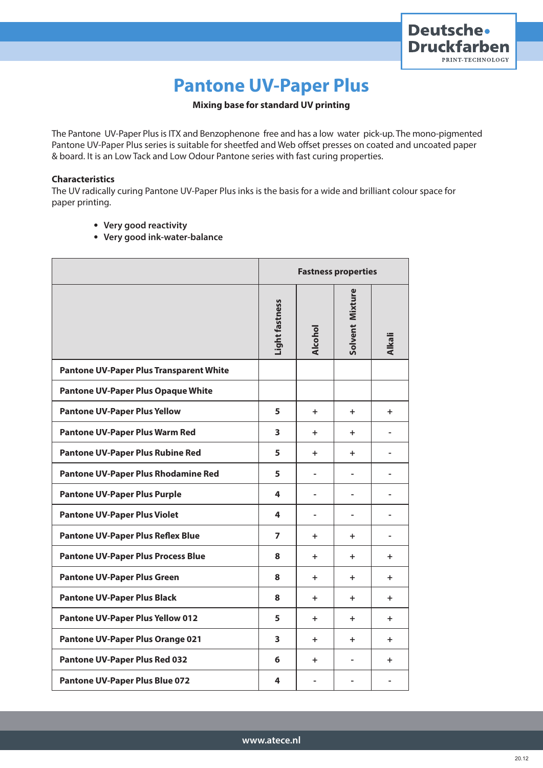

# **Pantone UV-Paper Plus**

### **Mixing base for standard UV printing**

The Pantone UV-Paper Plus is ITX and Benzophenone free and has a low water pick-up. The mono-pigmented Pantone UV-Paper Plus series is suitable for sheetfed and Web offset presses on coated and uncoated paper & board. It is an Low Tack and Low Odour Pantone series with fast curing properties.

#### **Characteristics**

The UV radically curing Pantone UV-Paper Plus inks is the basis for a wide and brilliant colour space for paper printing.

- **Very good reactivity**
- **Very good ink-water-balance**

|                                                | <b>Fastness properties</b> |                          |                 |                          |
|------------------------------------------------|----------------------------|--------------------------|-----------------|--------------------------|
|                                                | Light fastness             | Alcohol                  | Solvent Mixture | <b>Alkali</b>            |
| <b>Pantone UV-Paper Plus Transparent White</b> |                            |                          |                 |                          |
| <b>Pantone UV-Paper Plus Opaque White</b>      |                            |                          |                 |                          |
| <b>Pantone UV-Paper Plus Yellow</b>            | 5                          | ÷.                       | $\ddot{}$       | ÷.                       |
| <b>Pantone UV-Paper Plus Warm Red</b>          | 3                          | ÷.                       | ÷.              | $\blacksquare$           |
| <b>Pantone UV-Paper Plus Rubine Red</b>        | 5                          | ÷.                       | ÷               |                          |
| Pantone UV-Paper Plus Rhodamine Red            | 5                          |                          |                 | $\overline{a}$           |
| <b>Pantone UV-Paper Plus Purple</b>            | 4                          | $\overline{a}$           | $\overline{a}$  | $\blacksquare$           |
| <b>Pantone UV-Paper Plus Violet</b>            | 4                          | $\overline{\phantom{0}}$ | ٠               | $\overline{\phantom{0}}$ |
| <b>Pantone UV-Paper Plus Reflex Blue</b>       | $\overline{ }$             | $\ddot{}$                | ÷.              | $\overline{a}$           |
| <b>Pantone UV-Paper Plus Process Blue</b>      | 8                          | ÷.                       | ÷.              | ÷.                       |
| <b>Pantone UV-Paper Plus Green</b>             | 8                          | ÷                        | ÷.              | ÷.                       |
| <b>Pantone UV-Paper Plus Black</b>             | 8                          | ÷.                       | ÷.              | ÷.                       |
| <b>Pantone UV-Paper Plus Yellow 012</b>        | 5                          | $+$                      | ÷.              | ÷.                       |
| <b>Pantone UV-Paper Plus Orange 021</b>        | 3                          | $\ddot{}$                | $\ddot{}$       | $\ddot{}$                |
| <b>Pantone UV-Paper Plus Red 032</b>           | 6                          | $\ddot{}$                | $\overline{a}$  | $\ddot{}$                |
| <b>Pantone UV-Paper Plus Blue 072</b>          | 4                          |                          |                 |                          |